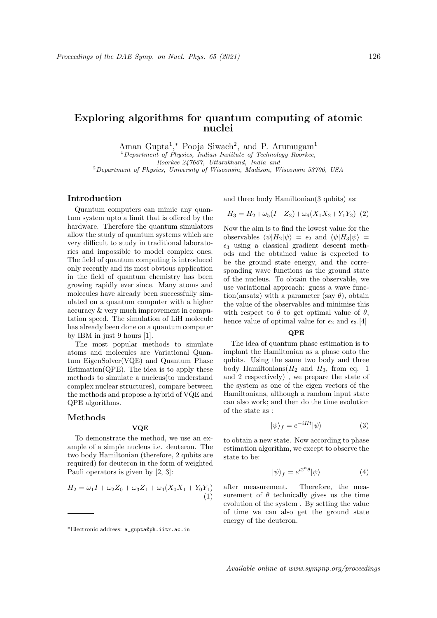# Exploring algorithms for quantum computing of atomic nuclei

Aman Gupta<sup>1</sup>,\* Pooja Siwach<sup>2</sup>, and P. Arumugam<sup>1</sup>

<sup>1</sup>Department of Physics, Indian Institute of Technology Roorkee, Roorkee-247667, Uttarakhand, India and

 $2$ Department of Physics, University of Wisconsin, Madison, Wisconsin 53706, USA

# Introduction

Quantum computers can mimic any quantum system upto a limit that is offered by the hardware. Therefore the quantum simulators allow the study of quantum systems which are very difficult to study in traditional laboratories and impossible to model complex ones. The field of quantum computing is introduced only recently and its most obvious application in the field of quantum chemistry has been growing rapidly ever since. Many atoms and molecules have already been successfully simulated on a quantum computer with a higher accuracy & very much improvement in computation speed. The simulation of LiH molecule has already been done on a quantum computer by IBM in just 9 hours [1].

The most popular methods to simulate atoms and molecules are Variational Quantum EigenSolver(VQE) and Quantum Phase Estimation( $QPE$ ). The idea is to apply these methods to simulate a nucleus(to understand complex nuclear structures), compare between the methods and propose a hybrid of VQE and QPE algorithms.

#### Methods

#### VQE

To demonstrate the method, we use an example of a simple nucleus i.e. deuteron. The two body Hamiltonian (therefore, 2 qubits are required) for deuteron in the form of weighted Pauli operators is given by [2, 3]:

$$
H_2 = \omega_1 I + \omega_2 Z_0 + \omega_3 Z_1 + \omega_4 (X_0 X_1 + Y_0 Y_1)
$$
  
(1)

and three body Hamiltonian(3 qubits) as:

$$
H_3 = H_2 + \omega_5 (I - Z_2) + \omega_6 (X_1 X_2 + Y_1 Y_2) \tag{2}
$$

Now the aim is to find the lowest value for the observables  $\langle \psi | H_2 | \psi \rangle = \epsilon_2$  and  $\langle \psi | H_3 | \psi \rangle =$  $\epsilon_3$  using a classical gradient descent methods and the obtained value is expected to be the ground state energy, and the corresponding wave functions as the ground state of the nucleus. To obtain the observable, we use variational approach: guess a wave function(ansatz) with a parameter (say  $\theta$ ), obtain the value of the observables and minimise this with respect to  $\theta$  to get optimal value of  $\theta$ , hence value of optimal value for  $\epsilon_2$  and  $\epsilon_3$ .[4]

### QPE

The idea of quantum phase estimation is to implant the Hamiltonian as a phase onto the qubits. Using the same two body and three body Hamiltonians  $(H_2 \text{ and } H_3 \text{), from eq. } 1$ and 2 respectively) , we prepare the state of the system as one of the eigen vectors of the Hamiltonians, although a random input state can also work; and then do the time evolution of the state as :

$$
|\psi\rangle_f = e^{-iHt}|\psi\rangle \tag{3}
$$

to obtain a new state. Now according to phase estimation algorithm, we except to observe the state to be:

$$
|\psi\rangle_f = e^{i2^n \theta} |\psi\rangle \tag{4}
$$

after measurement. Therefore, the measurement of  $\theta$  technically gives us the time evolution of the system . By setting the value of time we can also get the ground state energy of the deuteron.

Available online at www.sympnp.org/proceedings

<sup>∗</sup>Electronic address: a\_gupta@ph.iitr.ac.in